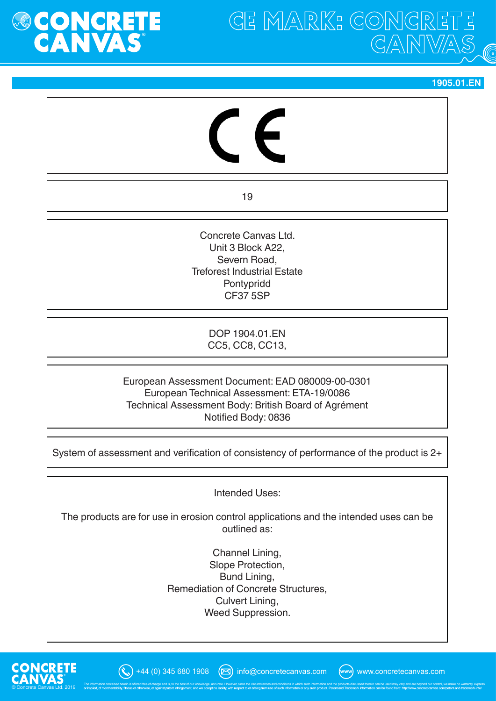

**GE MARK: GONGRE** GANWA

**1905.01.EN**

19

Concrete Canvas Ltd. Unit 3 Block A22, Severn Road, Treforest Industrial Estate Pontypridd CF37 5SP

> DOP 1904.01.EN CC5, CC8, CC13,

European Assessment Document: EAD 080009-00-0301 European Technical Assessment: ETA-19/0086 Technical Assessment Body: British Board of Agrément Notified Body: 0836

System of assessment and verification of consistency of performance of the product is 2+

Intended Uses:

The products are for use in erosion control applications and the intended uses can be outlined as:

> Channel Lining, Slope Protection, Bund Lining, Remediation of Concrete Structures, Culvert Lining, Weed Suppression.